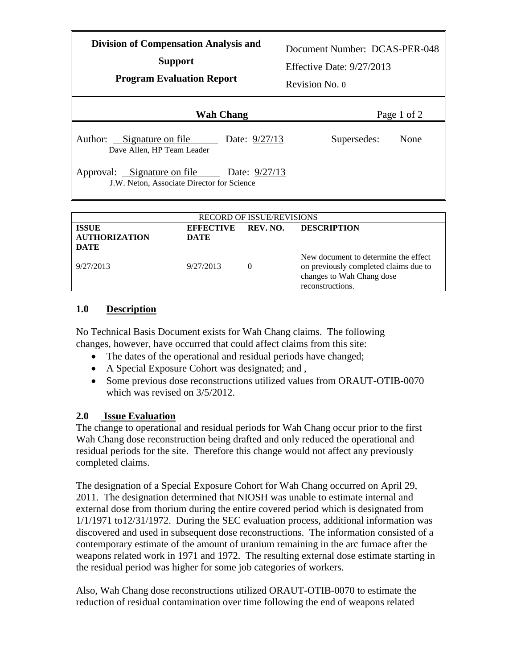| <b>Division of Compensation Analysis and</b><br><b>Support</b><br><b>Program Evaluation Report</b> | Document Number: DCAS-PER-048<br>Effective Date: $9/27/2013$<br>Revision No. 0 |
|----------------------------------------------------------------------------------------------------|--------------------------------------------------------------------------------|
| <b>Wah Chang</b>                                                                                   | Page 1 of 2                                                                    |
| Author: Signature on file<br>Date: 9/27/13<br>Dave Allen, HP Team Leader                           | Supersedes:<br>None                                                            |
| Approval: Signature on file Date: 9/27/13<br>J.W. Neton, Associate Director for Science            |                                                                                |
| <b>RECORD OF ISSUE/REVISIONS</b>                                                                   |                                                                                |

| <b>RECORD OF ISSUE/REVISIONS</b>     |                                 |          |                                                                                                                                |  |  |  |
|--------------------------------------|---------------------------------|----------|--------------------------------------------------------------------------------------------------------------------------------|--|--|--|
| <b>ISSUE</b><br><b>AUTHORIZATION</b> | <b>EFFECTIVE</b><br><b>DATE</b> | REV. NO. | <b>DESCRIPTION</b>                                                                                                             |  |  |  |
| DATE                                 |                                 |          |                                                                                                                                |  |  |  |
| 9/27/2013                            | 9/27/2013                       |          | New document to determine the effect<br>on previously completed claims due to<br>changes to Wah Chang dose<br>reconstructions. |  |  |  |

## **1.0 Description**

No Technical Basis Document exists for Wah Chang claims. The following changes, however, have occurred that could affect claims from this site:

- The dates of the operational and residual periods have changed;
- A Special Exposure Cohort was designated; and ,
- Some previous dose reconstructions utilized values from ORAUT-OTIB-0070 which was revised on 3/5/2012.

## **2.0 Issue Evaluation**

The change to operational and residual periods for Wah Chang occur prior to the first Wah Chang dose reconstruction being drafted and only reduced the operational and residual periods for the site. Therefore this change would not affect any previously completed claims.

The designation of a Special Exposure Cohort for Wah Chang occurred on April 29, 2011. The designation determined that NIOSH was unable to estimate internal and external dose from thorium during the entire covered period which is designated from 1/1/1971 to12/31/1972. During the SEC evaluation process, additional information was discovered and used in subsequent dose reconstructions. The information consisted of a contemporary estimate of the amount of uranium remaining in the arc furnace after the weapons related work in 1971 and 1972. The resulting external dose estimate starting in the residual period was higher for some job categories of workers.

Also, Wah Chang dose reconstructions utilized ORAUT-OTIB-0070 to estimate the reduction of residual contamination over time following the end of weapons related